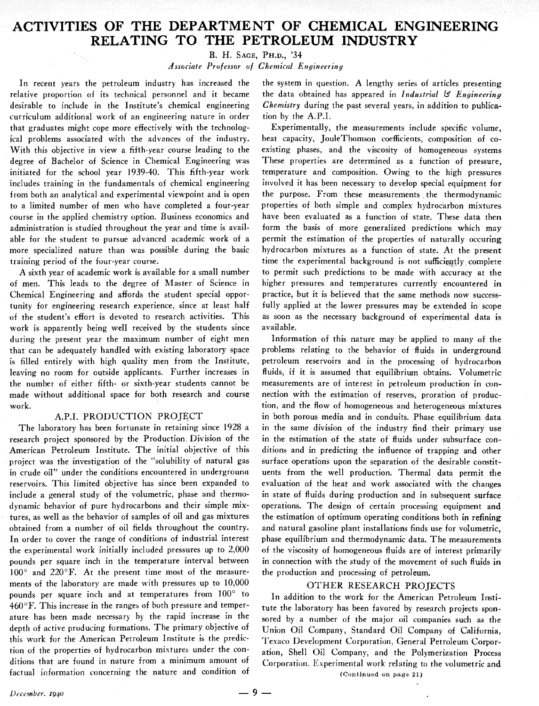# ACTIVITIES OF THE DEPARTMENT OF CHEMICAL ENGINEERING **RELATING TO THE PETROLEUM INDUSTRY**

B. **H.** SAGE, PH.D., '34

*Associate Professor of Chemical Engineering* 

In recent years the petroleum industry has increased the relative proportion of its technical personnel and it became desirable to include in the Institute's chemical engineering curriculum additional work of an engineering nature in order that graduates might cope more effectively with the technological problems associated with the advances of the industry. With this objective in view a fifth-year course leading to the degree of Bachelor of Science in Chemical Engineering was initiated for the school year 1939-40. This fifth-year work includes training in the fundamentals of chemical engineering from both an analytical and experimental viewpoint and is open to a limited number of men who have completed a four-year course in the applied chemistry option. Business economics and administration is studied throughout the year and time is available for the student to pursue advanced academic work of a more specialized nature than was possible during the basic training period of the four-year course.

A sixth year of academic work is available for a small number of men. This leads to the degree of Master of Science in Chemical Engineering and affords the student special opportunity for engineering research experience, since at least half of the student's effort is devoted to research activities. This work is apparently being well received by the students since during the present year the maximum number of eight men that can be adequately handled with existing laboratory space is filled entirely with high quality men from the Institute, leaving no room for outside applicants. Further increases in the number of either fifth- or sixth-year students cannot be made without additional space for both research and course work.

### A.P.I. PRODUCTION PROJECT

The laboratory has been fortunate in retaining since 1928 a research project sponsored by the Production Division of the American Petroleum Institute. The initial objective of this project was the investigation of the "solubility of natural gas in crude oil" under the conditions encountered in underground reservoirs. This limited objective has since been expanded to include a general study of the volumetric, phase and thermodynamic behavior of pure hydrocarbons and their simple mixtures, as well as the behavior of samples of oil and gas mixtures obtained from a number of oil fields throughout the country. In order to cover the range of conditions of industrial interest the experimental work initially included pressures up to 2,000 pounds per square inch in the temperature interval between  $100^\circ$  and  $220^\circ$ F. At the present time most of the measurements of the laboratory are made with pressures up to 10,000 pounds per square inch and at temperatures from 100' to  $460^{\circ}$ F. This increase in the ranges of both pressure and temperature has been made necessary by the rapid increase in the depth of active producing formations. The primary objective of this work for the American Petroleum Institute is the prediction of the properties of hydrocarbon mixtures under the conditions that are found in nature from a minimum amount of factual information concerning the nature and condition of the system in question. A lengthy series of articles presenting the data obtained has appeared in *Industrial* & *Engineering Chemistry* during the past several years, in addition to publication by the A.P.I.

Experimentally, the measurements include specific volume, heat capacity, JouleThomson coefficients, composition of coexisting phases, and the viscosity of homogeneous systems These properties are determined as a function of pressure, temperature and composition. Owing to the high pressures involved it has been necessary to develop special equipment for the purpose. From these measurements the thermodynamic properties of both simple and complex hydrocarbon mixtures have been evaluated as a function of state. These data then form the basis of more generalized predictions which may permit the estimation of the properties of naturally occuripg hydrocarbon mixtures as a function of state. At the present time the experimental background is not sufficiently complete to permit such predictions to be made with accuracy at the higher pressures and temperatures currently encountered in practice, but it is believed that the same methods now successfully applied at the lower pressures may be extended in scope as soon as the necessary background of experimental data is available.

Information of this nature may be applied to many of the problems relating to the behavior of fluids in underground petroleum reservoirs and in the processing of hydrocarbon fluids, if it is assumed that equilibrium obtains. Volumetric measurements are of interest in petroleum production in connection with the estimation of reserves, proration of production, and the flow of homogeneous and heterogeneous mixtures in both porous media and in conduits. Phase equilibrium data in the same division of the industry find their primary use in the estimation of the state of fluids under subsurface conditions and in predicting the influence of trapping and other surface operations upon the separation of the desirable constituents from the well production. Thermal data permit the evaluation of the heat and work associated with the changes in state of fluids during production and in subsequent surface operations. The design of certain processing equipment and the estimation of optimum operating conditions both in refining and natural gasoline plant installations finds use for volumetric, phase equilibrium and thermodynamic data. The measurements of the viscosity of homogeneous fluids are of interest primarily in connection with the study of the movement of such fluids in the production and processing of petroleum.

#### OTHER RESEARCH PROJECTS

In addition to the work for the American Petroleum Institute the laboratory has been favored by research projects sponsored by a number of the major oil companies such as the Union Oil Company, Standard Oil Company of California, Texaco Development Corporation, General Petroleum Corporation, Shell Oil Company, and the Polymerization Process Corporation. Experimental work relating to the volumetric and

**(Continued** on **page 21)**